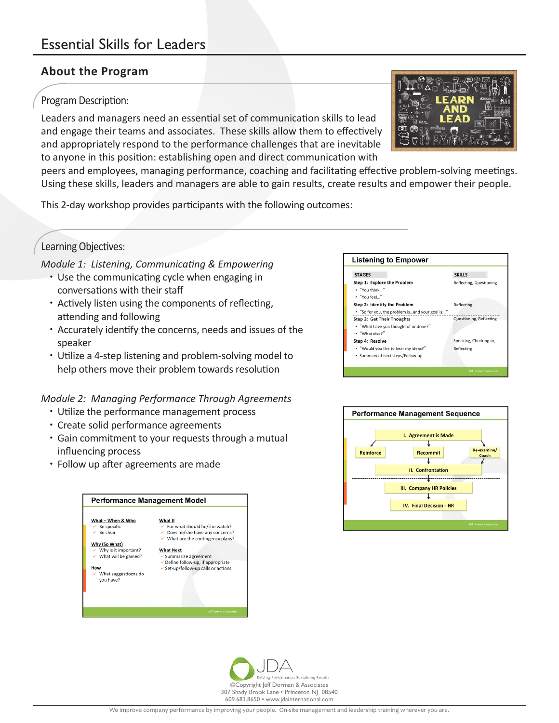## **About the Program**

#### Program Description:

Leaders and managers need an essential set of communication skills to lead and engage their teams and associates. These skills allow them to effectively and appropriately respond to the performance challenges that are inevitable to anyone in this position: establishing open and direct communication with

peers and employees, managing performance, coaching and facilitating effective problem-solving meetings. Using these skills, leaders and managers are able to gain results, create results and empower their people.

This 2-day workshop provides participants with the following outcomes:

# Learning Objectives:

*Module 1: Listening, Communicating & Empowering*

- Use the communicating cycle when engaging in conversations with their staff
- Actively listen using the components of reflecting, attending and following
- Accurately identify the concerns, needs and issues of the speaker
- Utilize a 4-step listening and problem-solving model to help others move their problem towards resolution

*Module 2: Managing Performance Through Agreements*

- Utilize the performance management process
- Create solid performance agreements
- Gain commitment to your requests through a mutual influencing process
- Follow up after agreements are made

| What - When & Who                 | What If                             |
|-----------------------------------|-------------------------------------|
| $\checkmark$ Be specific          | ← For what should he/she watch?     |
| Be clear<br>✓                     | Does he/she have any concerns?      |
|                                   | What are the contingency plans?     |
| Why (So What)                     |                                     |
| $\checkmark$ Why is it important? | <b>What Next</b>                    |
| What will be gained?              | ✔ Summarize agreement               |
|                                   | ✓ Define follow-up, if appropriate  |
| How                               | ✓ Set-up/follow-up calls or actions |
| What suggestiozns do<br>vou have? |                                     |
|                                   |                                     |